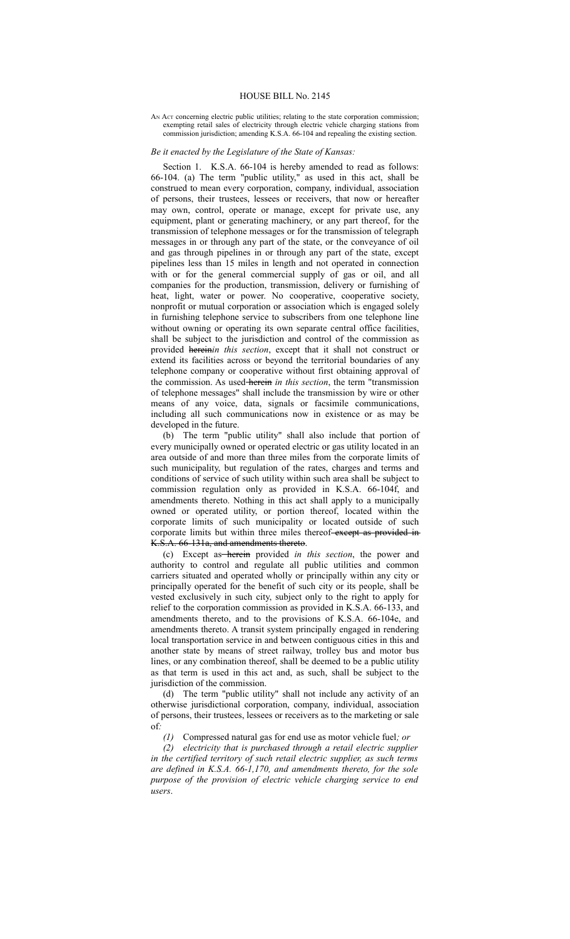## HOUSE BILL No. 2145

## AN Act concerning electric public utilities; relating to the state corporation commission; exempting retail sales of electricity through electric vehicle charging stations from commission jurisdiction; amending K.S.A. 66-104 and repealing the existing section.

## *Be it enacted by the Legislature of the State of Kansas:*

Section 1. K.S.A. 66-104 is hereby amended to read as follows: 66-104. (a) The term "public utility," as used in this act, shall be construed to mean every corporation, company, individual, association of persons, their trustees, lessees or receivers, that now or hereafter may own, control, operate or manage, except for private use, any equipment, plant or generating machinery, or any part thereof, for the transmission of telephone messages or for the transmission of telegraph messages in or through any part of the state, or the conveyance of oil and gas through pipelines in or through any part of the state, except pipelines less than 15 miles in length and not operated in connection with or for the general commercial supply of gas or oil, and all companies for the production, transmission, delivery or furnishing of heat, light, water or power. No cooperative, cooperative society, nonprofit or mutual corporation or association which is engaged solely in furnishing telephone service to subscribers from one telephone line without owning or operating its own separate central office facilities, shall be subject to the jurisdiction and control of the commission as provided herein*in this section*, except that it shall not construct or extend its facilities across or beyond the territorial boundaries of any telephone company or cooperative without first obtaining approval of the commission. As used herein *in this section*, the term "transmission of telephone messages" shall include the transmission by wire or other means of any voice, data, signals or facsimile communications, including all such communications now in existence or as may be developed in the future.

(b) The term "public utility" shall also include that portion of every municipally owned or operated electric or gas utility located in an area outside of and more than three miles from the corporate limits of such municipality, but regulation of the rates, charges and terms and conditions of service of such utility within such area shall be subject to commission regulation only as provided in K.S.A. 66-104f, and amendments thereto. Nothing in this act shall apply to a municipally owned or operated utility, or portion thereof, located within the corporate limits of such municipality or located outside of such corporate limits but within three miles thereof-except as provided in K.S.A. 66-131a, and amendments thereto.

(c) Except as herein provided *in this section*, the power and authority to control and regulate all public utilities and common carriers situated and operated wholly or principally within any city or principally operated for the benefit of such city or its people, shall be vested exclusively in such city, subject only to the right to apply for relief to the corporation commission as provided in K.S.A. 66-133, and amendments thereto, and to the provisions of K.S.A. 66-104e, and amendments thereto. A transit system principally engaged in rendering local transportation service in and between contiguous cities in this and another state by means of street railway, trolley bus and motor bus lines, or any combination thereof, shall be deemed to be a public utility as that term is used in this act and, as such, shall be subject to the jurisdiction of the commission.

(d) The term "public utility" shall not include any activity of an otherwise jurisdictional corporation, company, individual, association of persons, their trustees, lessees or receivers as to the marketing or sale of*:*

*(1)* Compressed natural gas for end use as motor vehicle fuel*; or*

*(2) electricity that is purchased through a retail electric supplier in the certified territory of such retail electric supplier, as such terms are defined in K.S.A. 66-1,170, and amendments thereto, for the sole purpose of the provision of electric vehicle charging service to end users*.